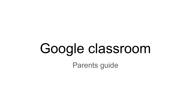# Google classroom Parents guide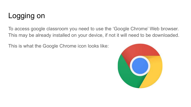# Logging on

To access google classroom you need to use the 'Google Chrome' Web browser. This may be already installed on your device, if not it will need to be downloaded.

This is what the Google Chrome icon looks like:

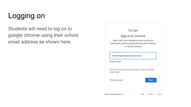# Logging on

Students will need to log on to google chrome using their school email address as shown here.

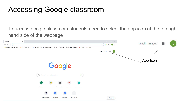### Accessing Google classroom

To access google classroom students need to select the app icon at the top right hand side of the webpage

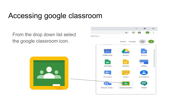### Accessing google classroom

From the drop down list select the google classroom icon.

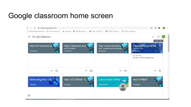### Google classroom home screen

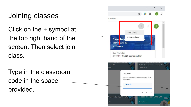# Joining classes

Click on the + symbol at the top right hand of the screen. Then select join class.

Type in the classroom code in the space provided.

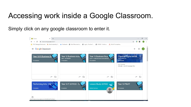#### Accessing work inside a Google Classroom.

#### Simply click on any google classroom to enter it.

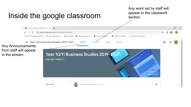